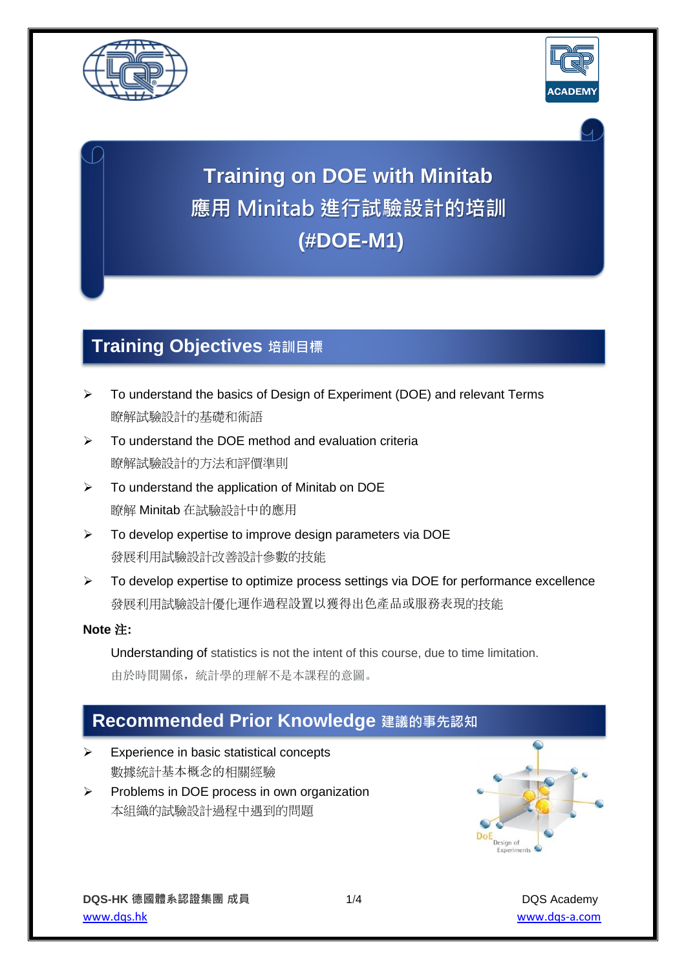



# **Training on DOE with Minitab 應用 Minitab 進行試驗設計的培訓 (#DOE-M1)**

## **Training Objectives 培訓目標**

- ➢ To understand the basics of Design of Experiment (DOE) and relevant Terms 瞭解試驗設計的基礎和術語
- ➢ To understand the DOE method and evaluation criteria 瞭解試驗設計的方法和評價準則
- $\triangleright$  To understand the application of Minitab on DOE 瞭解 Minitab 在試驗設計中的應用
- ➢ To develop expertise to improve design parameters via DOE 發展利用試驗設計改善設計參數的技能
- ➢ To develop expertise to optimize process settings via DOE for performance excellence 發展利用試驗設計優化運作過程設置以獲得出色產品或服務表現的技能

### **Note** 注**:**

Understanding of statistics is not the intent of this course, due to time limitation. 由於時間關係,統計學的理解不是本課程的意圖。

## **Recommended Prior Knowledge 建議的事先認知**

- ➢ Experience in basic statistical concepts 數據統計基本概念的相關經驗
- ➢ Problems in DOE process in own organization 本組織的試驗設計過程中遇到的問題

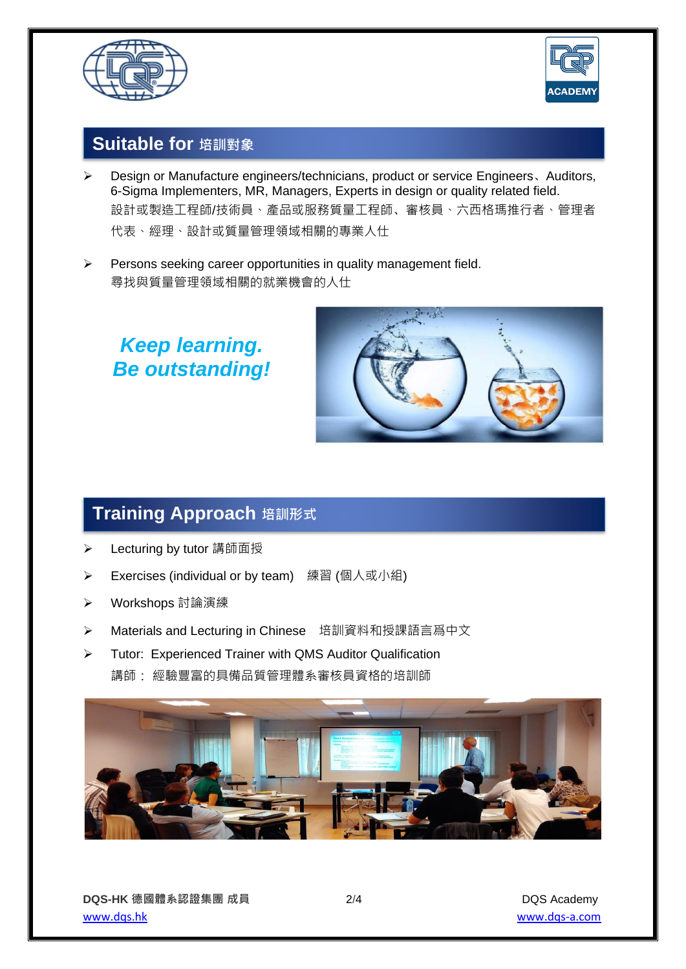



### **Suitable for 培訓對象**

- ➢ Design or Manufacture engineers/technicians, product or service Engineers、Auditors, 6-Sigma Implementers, MR, Managers, Experts in design or quality related field. 設計或製造工程師/技術員、產品或服務質量工程師、審核員、六西格瑪推行者、管理者 代表、經理、設計或質量管理領域相關的專業人仕
- ➢ Persons seeking career opportunities in quality management field. 尋找與質量管理領域相關的就業機會的人仕

*Keep learning. Be outstanding!*



## <mark>| Training Approach</mark> 培訓形式

- ➢ Lecturing by tutor 講師面授
- **▶ Exercises (individual or by team)** 練習 (個人或小組)
- ➢ Workshops 討論演練
- **▶ Materials and Lecturing in Chinese** 培訓資料和授課語言爲中文
- ➢ Tutor: Experienced Trainer with QMS Auditor Qualification 講師: 經驗豐富的具備品質管理體系審核員資格的培訓師

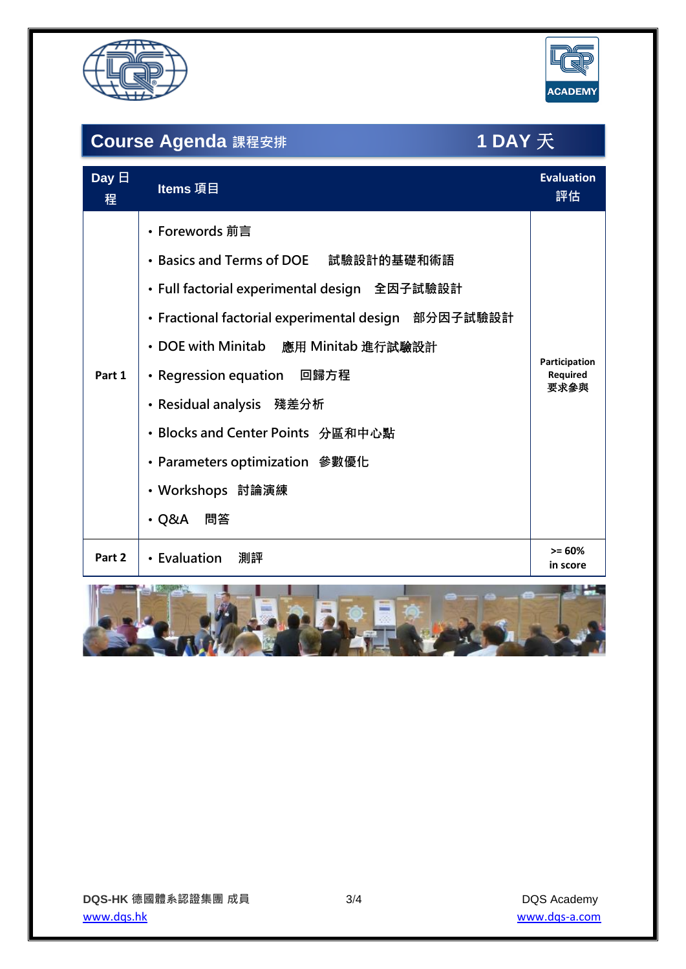



# **Course Agenda 課程安排 1 DAY** 天

| Day $\boxminus$<br>程 | Items 項目                                                                                                                                                                                                                                                                                                                                                                  | <b>Evaluation</b><br>評估                  |
|----------------------|---------------------------------------------------------------------------------------------------------------------------------------------------------------------------------------------------------------------------------------------------------------------------------------------------------------------------------------------------------------------------|------------------------------------------|
| Part 1               | • Forewords 前言<br>• Basics and Terms of DOE 試驗設計的基礎和術語<br>• Full factorial experimental design 全因子試驗設計<br>• Fractional factorial experimental design 部分因子試驗設計<br>• DOE with Minitab 應用 Minitab 進行試驗設計<br>• Regression equation  回歸方程<br>• Residual analysis    殘差分析<br>• Blocks and Center Points 分區和中心點<br>• Parameters optimization 参數優化<br>・Workshops 討論演練<br>• Q&A 問答 | Participation<br><b>Required</b><br>要求參與 |
| Part 2               | • Evaluation<br>測評                                                                                                                                                                                                                                                                                                                                                        | $>= 60%$<br>in score                     |